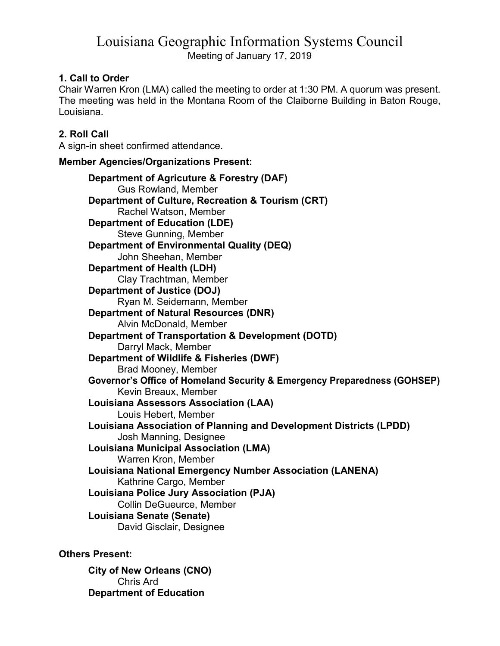# Louisiana Geographic Information Systems Council Meeting of January 17, 2019

## 1. Call to Order

Chair Warren Kron (LMA) called the meeting to order at 1:30 PM. A quorum was present. The meeting was held in the Montana Room of the Claiborne Building in Baton Rouge, Louisiana.

## 2. Roll Call

A sign-in sheet confirmed attendance.

#### Member Agencies/Organizations Present:

Department of Agricuture & Forestry (DAF) Gus Rowland, Member Department of Culture, Recreation & Tourism (CRT) Rachel Watson, Member Department of Education (LDE) Steve Gunning, Member Department of Environmental Quality (DEQ) John Sheehan, Member Department of Health (LDH) Clay Trachtman, Member Department of Justice (DOJ) Ryan M. Seidemann, Member Department of Natural Resources (DNR) Alvin McDonald, Member Department of Transportation & Development (DOTD) Darryl Mack, Member Department of Wildlife & Fisheries (DWF) Brad Mooney, Member Governor's Office of Homeland Security & Emergency Preparedness (GOHSEP) Kevin Breaux, Member Louisiana Assessors Association (LAA) Louis Hebert, Member Louisiana Association of Planning and Development Districts (LPDD) Josh Manning, Designee Louisiana Municipal Association (LMA) Warren Kron, Member Louisiana National Emergency Number Association (LANENA) Kathrine Cargo, Member Louisiana Police Jury Association (PJA) Collin DeGueurce, Member Louisiana Senate (Senate) David Gisclair, Designee

Others Present:

City of New Orleans (CNO) Chris Ard Department of Education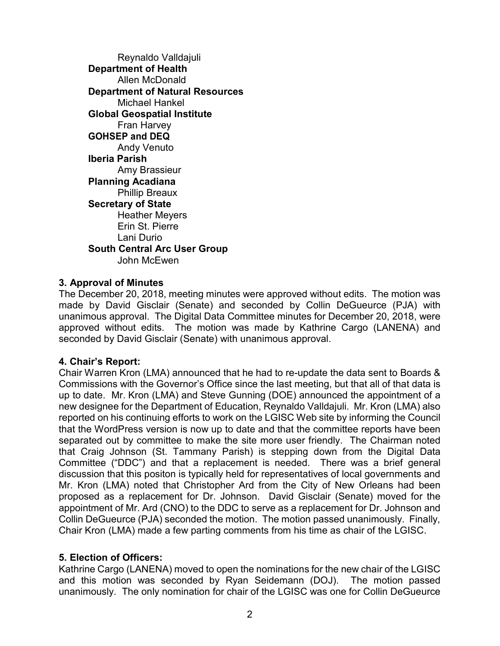Reynaldo Valldajuli Department of Health Allen McDonald Department of Natural Resources Michael Hankel Global Geospatial Institute Fran Harvey GOHSEP and DEQ Andy Venuto Iberia Parish Amy Brassieur Planning Acadiana Phillip Breaux Secretary of State Heather Meyers Erin St. Pierre Lani Durio South Central Arc User Group John McEwen

### 3. Approval of Minutes

The December 20, 2018, meeting minutes were approved without edits. The motion was made by David Gisclair (Senate) and seconded by Collin DeGueurce (PJA) with unanimous approval. The Digital Data Committee minutes for December 20, 2018, were approved without edits. The motion was made by Kathrine Cargo (LANENA) and seconded by David Gisclair (Senate) with unanimous approval.

### 4. Chair's Report:

Chair Warren Kron (LMA) announced that he had to re-update the data sent to Boards & Commissions with the Governor's Office since the last meeting, but that all of that data is up to date. Mr. Kron (LMA) and Steve Gunning (DOE) announced the appointment of a new designee for the Department of Education, Reynaldo Valldajuli. Mr. Kron (LMA) also reported on his continuing efforts to work on the LGISC Web site by informing the Council that the WordPress version is now up to date and that the committee reports have been separated out by committee to make the site more user friendly. The Chairman noted that Craig Johnson (St. Tammany Parish) is stepping down from the Digital Data Committee ("DDC") and that a replacement is needed. There was a brief general discussion that this positon is typically held for representatives of local governments and Mr. Kron (LMA) noted that Christopher Ard from the City of New Orleans had been proposed as a replacement for Dr. Johnson. David Gisclair (Senate) moved for the appointment of Mr. Ard (CNO) to the DDC to serve as a replacement for Dr. Johnson and Collin DeGueurce (PJA) seconded the motion. The motion passed unanimously. Finally, Chair Kron (LMA) made a few parting comments from his time as chair of the LGISC.

### 5. Election of Officers:

Kathrine Cargo (LANENA) moved to open the nominations for the new chair of the LGISC and this motion was seconded by Ryan Seidemann (DOJ). The motion passed unanimously. The only nomination for chair of the LGISC was one for Collin DeGueurce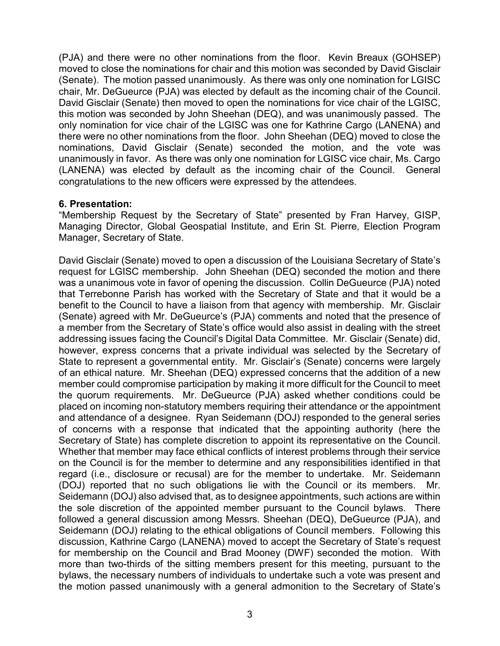(PJA) and there were no other nominations from the floor. Kevin Breaux (GOHSEP) moved to close the nominations for chair and this motion was seconded by David Gisclair (Senate). The motion passed unanimously. As there was only one nomination for LGISC chair, Mr. DeGueurce (PJA) was elected by default as the incoming chair of the Council. David Gisclair (Senate) then moved to open the nominations for vice chair of the LGISC, this motion was seconded by John Sheehan (DEQ), and was unanimously passed. The only nomination for vice chair of the LGISC was one for Kathrine Cargo (LANENA) and there were no other nominations from the floor. John Sheehan (DEQ) moved to close the nominations, David Gisclair (Senate) seconded the motion, and the vote was unanimously in favor. As there was only one nomination for LGISC vice chair, Ms. Cargo (LANENA) was elected by default as the incoming chair of the Council. General congratulations to the new officers were expressed by the attendees.

#### 6. Presentation:

"Membership Request by the Secretary of State" presented by Fran Harvey, GISP, Managing Director, Global Geospatial Institute, and Erin St. Pierre, Election Program Manager, Secretary of State.

David Gisclair (Senate) moved to open a discussion of the Louisiana Secretary of State's request for LGISC membership. John Sheehan (DEQ) seconded the motion and there was a unanimous vote in favor of opening the discussion. Collin DeGueurce (PJA) noted that Terrebonne Parish has worked with the Secretary of State and that it would be a benefit to the Council to have a liaison from that agency with membership. Mr. Gisclair (Senate) agreed with Mr. DeGueurce's (PJA) comments and noted that the presence of a member from the Secretary of State's office would also assist in dealing with the street addressing issues facing the Council's Digital Data Committee. Mr. Gisclair (Senate) did, however, express concerns that a private individual was selected by the Secretary of State to represent a governmental entity. Mr. Gisclair's (Senate) concerns were largely of an ethical nature. Mr. Sheehan (DEQ) expressed concerns that the addition of a new member could compromise participation by making it more difficult for the Council to meet the quorum requirements. Mr. DeGueurce (PJA) asked whether conditions could be placed on incoming non-statutory members requiring their attendance or the appointment and attendance of a designee. Ryan Seidemann (DOJ) responded to the general series of concerns with a response that indicated that the appointing authority (here the Secretary of State) has complete discretion to appoint its representative on the Council. Whether that member may face ethical conflicts of interest problems through their service on the Council is for the member to determine and any responsibilities identified in that regard (i.e., disclosure or recusal) are for the member to undertake. Mr. Seidemann (DOJ) reported that no such obligations lie with the Council or its members. Mr. Seidemann (DOJ) also advised that, as to designee appointments, such actions are within the sole discretion of the appointed member pursuant to the Council bylaws. There followed a general discussion among Messrs. Sheehan (DEQ), DeGueurce (PJA), and Seidemann (DOJ) relating to the ethical obligations of Council members. Following this discussion, Kathrine Cargo (LANENA) moved to accept the Secretary of State's request for membership on the Council and Brad Mooney (DWF) seconded the motion. With more than two-thirds of the sitting members present for this meeting, pursuant to the bylaws, the necessary numbers of individuals to undertake such a vote was present and the motion passed unanimously with a general admonition to the Secretary of State's